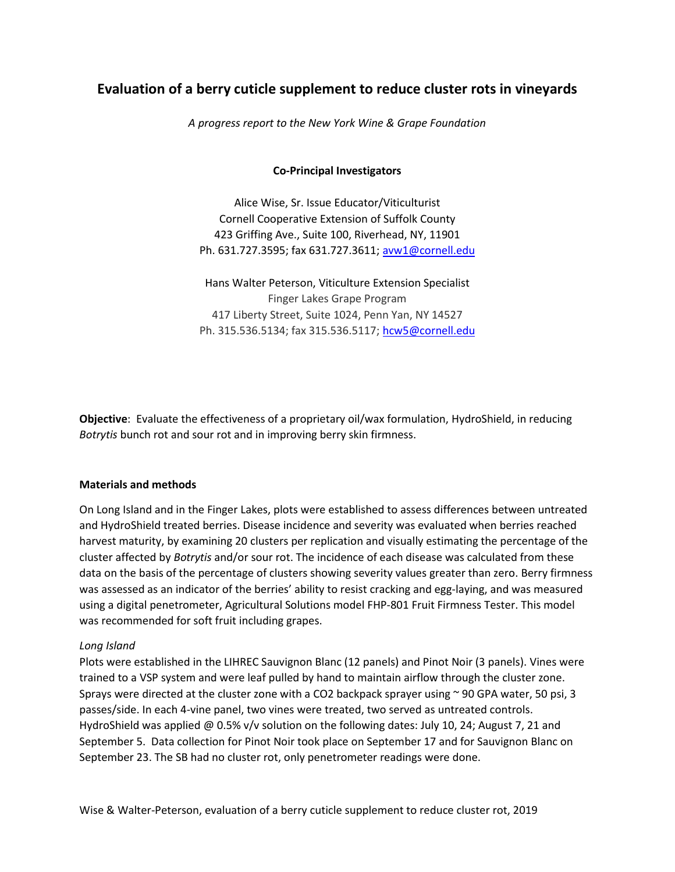# **Evaluation of a berry cuticle supplement to reduce cluster rots in vineyards**

*A progress report to the New York Wine & Grape Foundation*

#### **Co-Principal Investigators**

Alice Wise, Sr. Issue Educator/Viticulturist Cornell Cooperative Extension of Suffolk County 423 Griffing Ave., Suite 100, Riverhead, NY, 11901 Ph. 631.727.3595; fax 631.727.3611; [avw1@cornell.edu](mailto:avw1@cornell.edu)

Hans Walter Peterson, Viticulture Extension Specialist Finger Lakes Grape Program 417 Liberty Street, Suite 1024, Penn Yan, NY 14527 Ph. 315.536.5134; fax 315.536.5117; [hcw5@cornell.edu](mailto:hcw5@cornell.edu)

**Objective**: Evaluate the effectiveness of a proprietary oil/wax formulation, HydroShield, in reducing *Botrytis* bunch rot and sour rot and in improving berry skin firmness.

#### **Materials and methods**

On Long Island and in the Finger Lakes, plots were established to assess differences between untreated and HydroShield treated berries. Disease incidence and severity was evaluated when berries reached harvest maturity, by examining 20 clusters per replication and visually estimating the percentage of the cluster affected by *Botrytis* and/or sour rot. The incidence of each disease was calculated from these data on the basis of the percentage of clusters showing severity values greater than zero. Berry firmness was assessed as an indicator of the berries' ability to resist cracking and egg-laying, and was measured using a digital penetrometer, Agricultural Solutions model FHP-801 Fruit Firmness Tester. This model was recommended for soft fruit including grapes.

#### *Long Island*

Plots were established in the LIHREC Sauvignon Blanc (12 panels) and Pinot Noir (3 panels). Vines were trained to a VSP system and were leaf pulled by hand to maintain airflow through the cluster zone. Sprays were directed at the cluster zone with a CO2 backpack sprayer using ~ 90 GPA water, 50 psi, 3 passes/side. In each 4-vine panel, two vines were treated, two served as untreated controls. HydroShield was applied @ 0.5% v/v solution on the following dates: July 10, 24; August 7, 21 and September 5. Data collection for Pinot Noir took place on September 17 and for Sauvignon Blanc on September 23. The SB had no cluster rot, only penetrometer readings were done.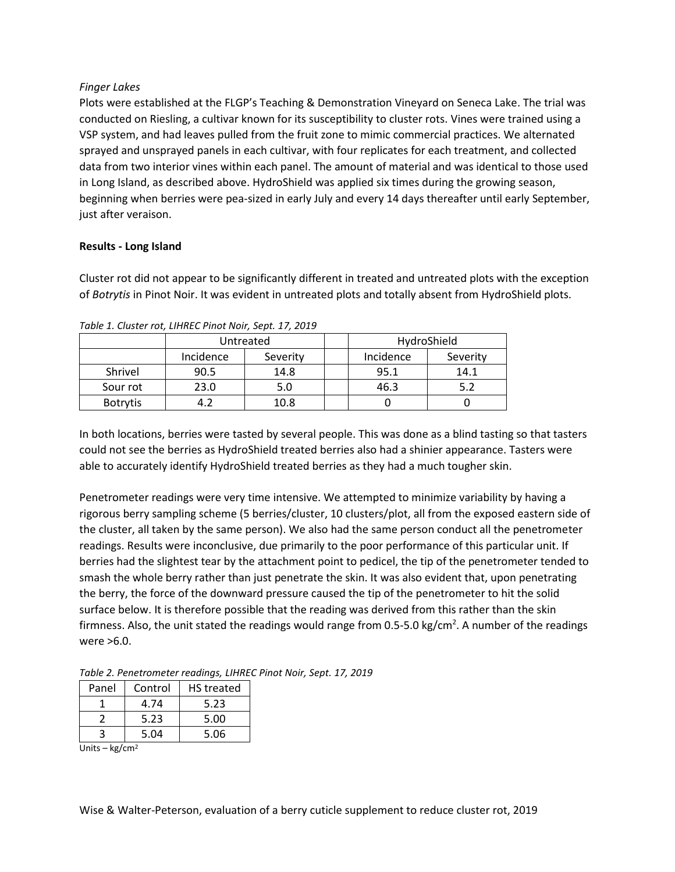## *Finger Lakes*

Plots were established at the FLGP's Teaching & Demonstration Vineyard on Seneca Lake. The trial was conducted on Riesling, a cultivar known for its susceptibility to cluster rots. Vines were trained using a VSP system, and had leaves pulled from the fruit zone to mimic commercial practices. We alternated sprayed and unsprayed panels in each cultivar, with four replicates for each treatment, and collected data from two interior vines within each panel. The amount of material and was identical to those used in Long Island, as described above. HydroShield was applied six times during the growing season, beginning when berries were pea-sized in early July and every 14 days thereafter until early September, just after veraison.

## **Results - Long Island**

Cluster rot did not appear to be significantly different in treated and untreated plots with the exception of *Botrytis* in Pinot Noir. It was evident in untreated plots and totally absent from HydroShield plots.

|                 | Untreated |          | HydroShield |          |
|-----------------|-----------|----------|-------------|----------|
|                 | Incidence | Severity | Incidence   | Severity |
| Shrivel         | 90.5      | 14.8     | 95.1        | 14.1     |
| Sour rot        | 23.0      | 5.0      | 46.3        |          |
| <b>Botrytis</b> |           | 10.8     |             |          |

*Table 1. Cluster rot, LIHREC Pinot Noir, Sept. 17, 2019*

In both locations, berries were tasted by several people. This was done as a blind tasting so that tasters could not see the berries as HydroShield treated berries also had a shinier appearance. Tasters were able to accurately identify HydroShield treated berries as they had a much tougher skin.

Penetrometer readings were very time intensive. We attempted to minimize variability by having a rigorous berry sampling scheme (5 berries/cluster, 10 clusters/plot, all from the exposed eastern side of the cluster, all taken by the same person). We also had the same person conduct all the penetrometer readings. Results were inconclusive, due primarily to the poor performance of this particular unit. If berries had the slightest tear by the attachment point to pedicel, the tip of the penetrometer tended to smash the whole berry rather than just penetrate the skin. It was also evident that, upon penetrating the berry, the force of the downward pressure caused the tip of the penetrometer to hit the solid surface below. It is therefore possible that the reading was derived from this rather than the skin firmness. Also, the unit stated the readings would range from 0.5-5.0 kg/cm<sup>2</sup>. A number of the readings were >6.0.

| Panel | Control | <b>HS</b> treated |
|-------|---------|-------------------|
|       | 4.74    | 5.23              |
|       | 5.23    | 5.00              |
|       | 5.04    | 5.06              |

Units –  $kg/cm<sup>2</sup>$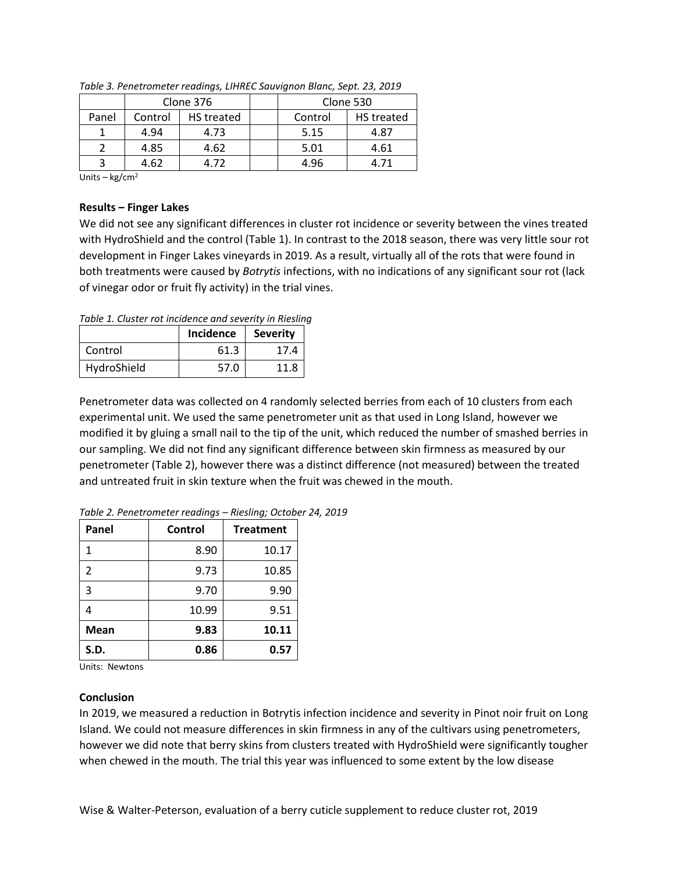|       | Clone 376 |                   | Clone 530 |            |
|-------|-----------|-------------------|-----------|------------|
| Panel | Control   | <b>HS</b> treated | Control   | HS treated |
|       | 4.94      | 4.73              | 5.15      | 4.87       |
|       | 4.85      | 4.62              | 5.01      | 4.61       |
|       | 4.62      | 4.72              | 4.96      | 4.71       |

*Table 3. Penetrometer readings, LIHREC Sauvignon Blanc, Sept. 23, 2019*

Units –  $kg/cm<sup>2</sup>$ 

#### **Results – Finger Lakes**

We did not see any significant differences in cluster rot incidence or severity between the vines treated with HydroShield and the control (Table 1). In contrast to the 2018 season, there was very little sour rot development in Finger Lakes vineyards in 2019. As a result, virtually all of the rots that were found in both treatments were caused by *Botrytis* infections, with no indications of any significant sour rot (lack of vinegar odor or fruit fly activity) in the trial vines.

*Table 1. Cluster rot incidence and severity in Riesling*

|             | Incidence | <b>Severity</b> |
|-------------|-----------|-----------------|
| Control     | 61.3      | 17.4            |
| HydroShield | 57.0      | 11.8            |

Penetrometer data was collected on 4 randomly selected berries from each of 10 clusters from each experimental unit. We used the same penetrometer unit as that used in Long Island, however we modified it by gluing a small nail to the tip of the unit, which reduced the number of smashed berries in our sampling. We did not find any significant difference between skin firmness as measured by our penetrometer (Table 2), however there was a distinct difference (not measured) between the treated and untreated fruit in skin texture when the fruit was chewed in the mouth.

| Panel          | Control | <b>Treatment</b> |
|----------------|---------|------------------|
|                | 8.90    | 10.17            |
| $\mathfrak{p}$ | 9.73    | 10.85            |
| 3              | 9.70    | 9.90             |
|                | 10.99   | 9.51             |
| <b>Mean</b>    | 9.83    | 10.11            |
| S.D.           | 0.86    | 0.57             |

*Table 2. Penetrometer readings – Riesling; October 24, 2019*

Units: Newtons

## **Conclusion**

In 2019, we measured a reduction in Botrytis infection incidence and severity in Pinot noir fruit on Long Island. We could not measure differences in skin firmness in any of the cultivars using penetrometers, however we did note that berry skins from clusters treated with HydroShield were significantly tougher when chewed in the mouth. The trial this year was influenced to some extent by the low disease